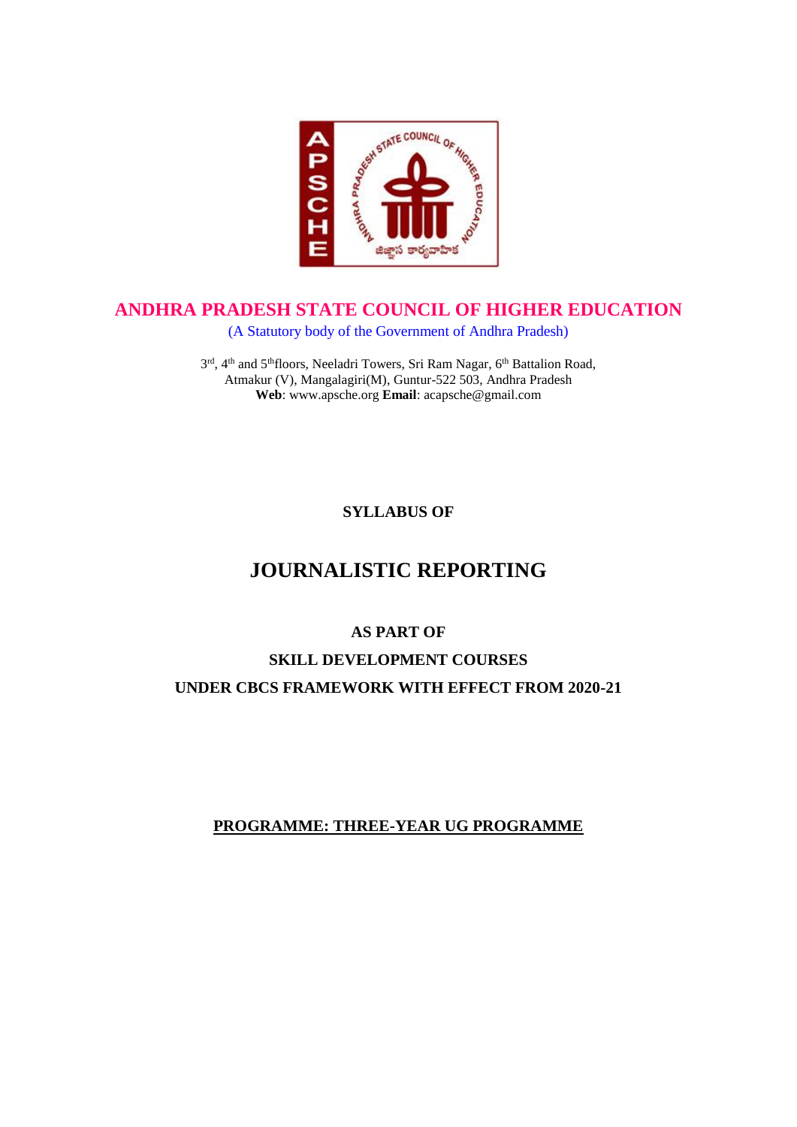

### **ANDHRA PRADESH STATE COUNCIL OF HIGHER EDUCATION**

(A Statutory body of the Government of Andhra Pradesh)

3<sup>rd</sup>, 4<sup>th</sup> and 5<sup>th</sup>floors, Neeladri Towers, Sri Ram Nagar, 6<sup>th</sup> Battalion Road, Atmakur (V), Mangalagiri(M), Guntur-522 503, Andhra Pradesh **Web**: www.apsche.org **Email**: acapsche@gmail.com

**SYLLABUS OF**

# **JOURNALISTIC REPORTING**

#### **AS PART OF**

## **SKILL DEVELOPMENT COURSES UNDER CBCS FRAMEWORK WITH EFFECT FROM 2020-21**

#### **PROGRAMME: THREE-YEAR UG PROGRAMME**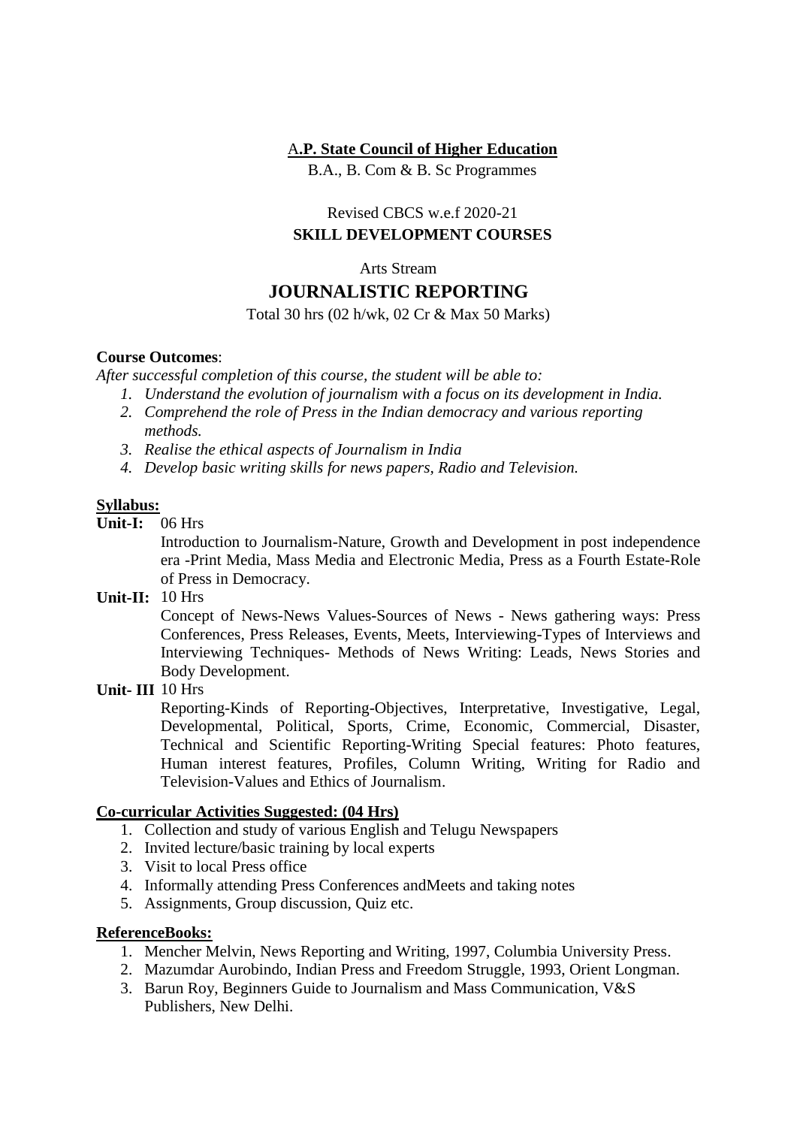#### A**.P. State Council of Higher Education**

B.A., B. Com & B. Sc Programmes

#### Revised CBCS w.e.f 2020-21 **SKILL DEVELOPMENT COURSES**

# Arts Stream

# **JOURNALISTIC REPORTING**

Total 30 hrs (02 h/wk, 02 Cr & Max 50 Marks)

#### **Course Outcomes**:

*After successful completion of this course, the student will be able to:*

- *1. Understand the evolution of journalism with a focus on its development in India.*
- *2. Comprehend the role of Press in the Indian democracy and various reporting methods.*
- *3. Realise the ethical aspects of Journalism in India*
- *4. Develop basic writing skills for news papers, Radio and Television.*

#### **Syllabus:**

**Unit-I:** 06 Hrs

Introduction to Journalism-Nature, Growth and Development in post independence era -Print Media, Mass Media and Electronic Media, Press as a Fourth Estate-Role of Press in Democracy.

**Unit-II:** 10 Hrs

Concept of News-News Values-Sources of News - News gathering ways: Press Conferences, Press Releases, Events, Meets, Interviewing-Types of Interviews and Interviewing Techniques- Methods of News Writing: Leads, News Stories and Body Development.

#### **Unit- III:**10 Hrs

Reporting-Kinds of Reporting-Objectives, Interpretative, Investigative, Legal, Developmental, Political, Sports, Crime, Economic, Commercial, Disaster, Technical and Scientific Reporting-Writing Special features: Photo features, Human interest features, Profiles, Column Writing, Writing for Radio and Television-Values and Ethics of Journalism.

#### **Co-curricular Activities Suggested: (04 Hrs)**

- 1. Collection and study of various English and Telugu Newspapers
- 2. Invited lecture/basic training by local experts
- 3. Visit to local Press office
- 4. Informally attending Press Conferences andMeets and taking notes
- 5. Assignments, Group discussion, Quiz etc.

#### **ReferenceBooks:**

- 1. Mencher Melvin, News Reporting and Writing, 1997, Columbia University Press.
- 2. Mazumdar Aurobindo, Indian Press and Freedom Struggle, 1993, Orient Longman.
- 3. Barun Roy, Beginners Guide to Journalism and Mass Communication, V&S Publishers, New Delhi.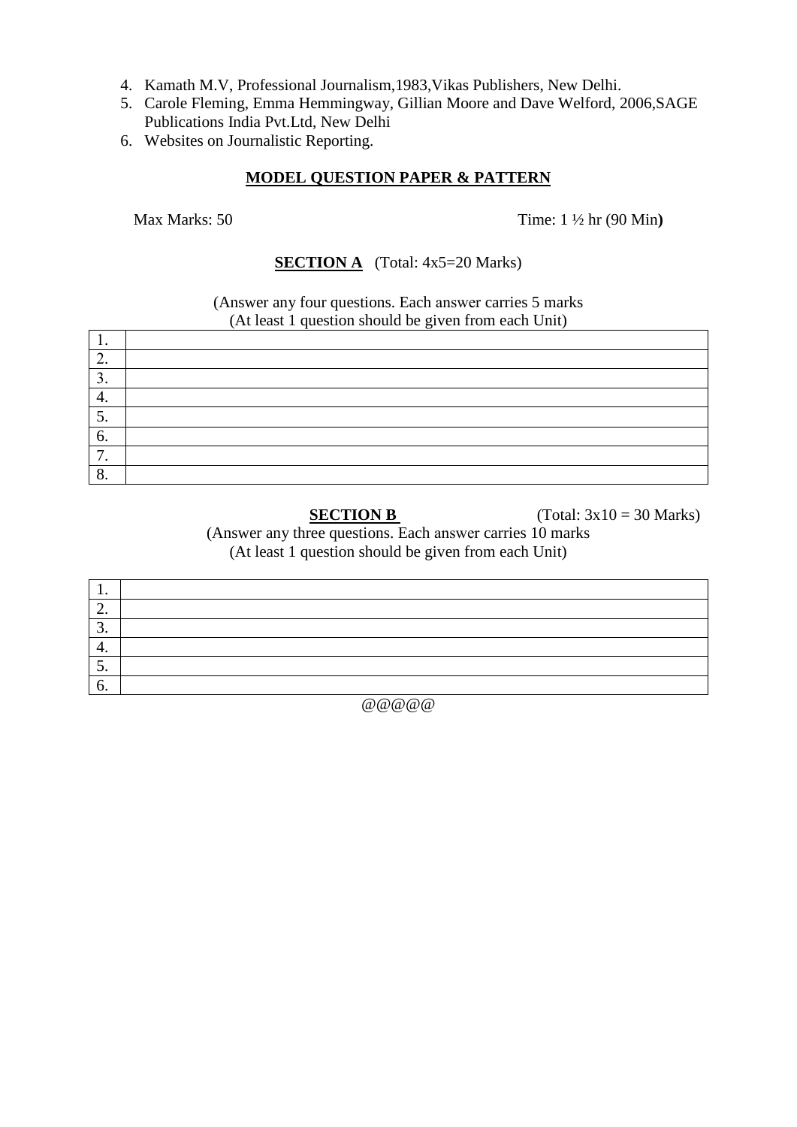- 4. Kamath M.V, Professional Journalism,1983,Vikas Publishers, New Delhi.
- 5. Carole Fleming, Emma Hemmingway, Gillian Moore and Dave Welford, 2006,SAGE Publications India Pvt.Ltd, New Delhi
- 6. Websites on Journalistic Reporting.

#### **MODEL QUESTION PAPER & PATTERN**

Max Marks: 50 Time: 1 ½ hr (90 Min**)**

#### **SECTION A** (Total: 4x5=20 Marks)

(Answer any four questions. Each answer carries 5 marks (At least 1 question should be given from each Unit)

| .<br>c<br>- - - - |  |  |
|-------------------|--|--|
| . .               |  |  |
| $\bigcap$         |  |  |
| J.                |  |  |
| ┭.                |  |  |
| J.                |  |  |
| 6.                |  |  |
| -<br>. .          |  |  |
| Ω<br>o.           |  |  |

**SECTION B** (Total:  $3x10 = 30$  Marks)

(Answer any three questions. Each answer carries 10 marks (At least 1 question should be given from each Unit)

| . .           |  |
|---------------|--|
| ◠<br><u>.</u> |  |
| J.            |  |
| ᠇.            |  |
| ◡.            |  |
| v.            |  |

 $@ @ @ @ @ @ @$